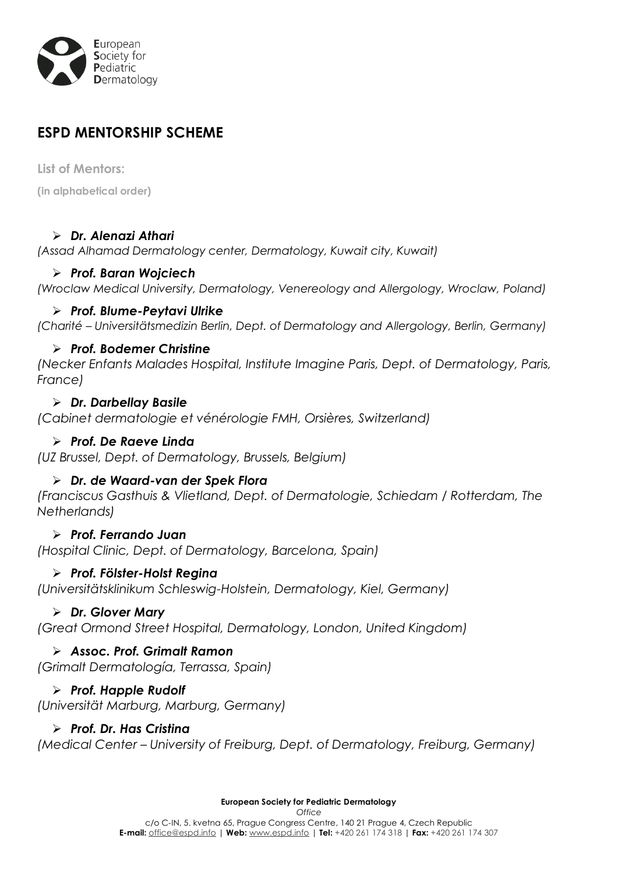

# **ESPD MENTORSHIP SCHEME**

**List of Mentors:**

**(in alphabetical order)**

### ➢ *Dr. Alenazi Athari*

*(Assad Alhamad Dermatology center, Dermatology, Kuwait city, Kuwait)*

#### ➢ *Prof. Baran Wojciech*

*(Wroclaw Medical University, Dermatology, Venereology and Allergology, Wroclaw, Poland)*

#### ➢ *Prof. Blume-Peytavi Ulrike*

*(Charité – Universitätsmedizin Berlin, Dept. of Dermatology and Allergology, Berlin, Germany)*

### ➢ *Prof. Bodemer Christine*

*(Necker Enfants Malades Hospital, Institute Imagine Paris, Dept. of Dermatology, Paris, France)*

#### ➢ *Dr. Darbellay Basile*

*(Cabinet dermatologie et vénérologie FMH, Orsières, Switzerland)*

### ➢ *Prof. De Raeve Linda*

*(UZ Brussel, Dept. of Dermatology, Brussels, Belgium)*

### ➢ *Dr. de Waard-van der Spek Flora*

*(Franciscus Gasthuis & Vlietland, Dept. of Dermatologie, Schiedam / Rotterdam, The Netherlands)*

#### ➢ *Prof. Ferrando Juan*

*(Hospital Clinic, Dept. of Dermatology, Barcelona, Spain)*

### ➢ *Prof. Fölster-Holst Regina*

*(Universitätsklinikum Schleswig-Holstein, Dermatology, Kiel, Germany)*

### ➢ *Dr. Glover Mary*

*(Great Ormond Street Hospital, Dermatology, London, United Kingdom)*

### ➢ *Assoc. Prof. Grimalt Ramon*

*(Grimalt Dermatología, Terrassa, Spain)*

### ➢ *Prof. Happle Rudolf*

*(Universität Marburg, Marburg, Germany)*

### ➢ *Prof. Dr. Has Cristina*

*(Medical Center – University of Freiburg, Dept. of Dermatology, Freiburg, Germany)*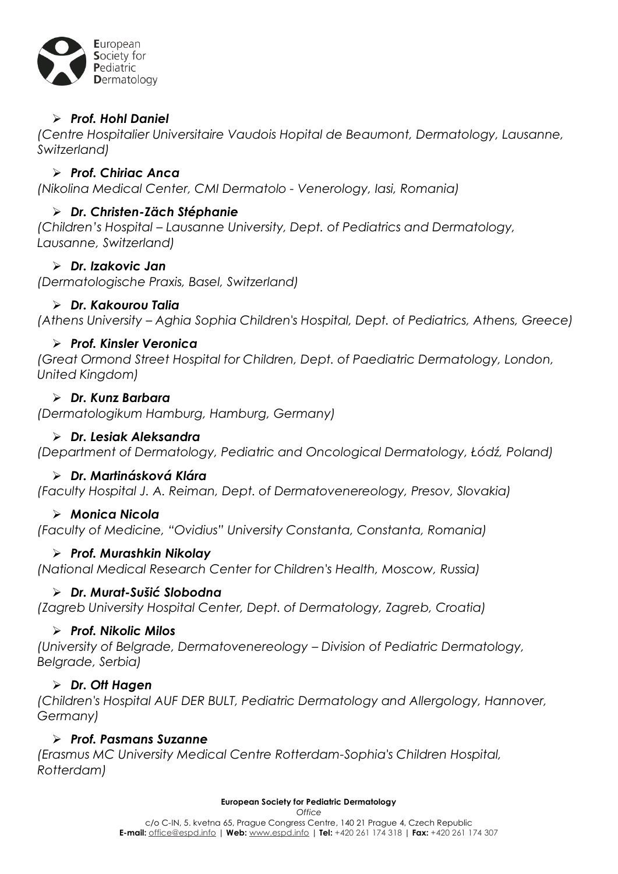

# ➢ *Prof. Hohl Daniel*

*(Centre Hospitalier Universitaire Vaudois Hopital de Beaumont, Dermatology, Lausanne, Switzerland)*

# ➢ *Prof. Chiriac Anca*

*(Nikolina Medical Center, CMI Dermatolo - Venerology, Iasi, Romania)*

# ➢ *Dr. Christen-Zäch Stéphanie*

*(Children's Hospital – Lausanne University, Dept. of Pediatrics and Dermatology, Lausanne, Switzerland)*

# ➢ *Dr. Izakovic Jan*

*(Dermatologische Praxis, Basel, Switzerland)*

# ➢ *Dr. Kakourou Talia*

*(Athens University – Aghia Sophia Children's Hospital, Dept. of Pediatrics, Athens, Greece)*

# ➢ *Prof. Kinsler Veronica*

*(Great Ormond Street Hospital for Children, Dept. of Paediatric Dermatology, London, United Kingdom)*

# ➢ *Dr. Kunz Barbara*

*(Dermatologikum Hamburg, Hamburg, Germany)*

# ➢ *Dr. Lesiak Aleksandra*

*(Department of Dermatology, Pediatric and Oncological Dermatology, Łódź, Poland)*

# ➢ *Dr. Martinásková Klára*

*(Faculty Hospital J. A. Reiman, Dept. of Dermatovenereology, Presov, Slovakia)*

# ➢ *Monica Nicola*

*(Faculty of Medicine, "Ovidius" University Constanta, Constanta, Romania)*

# ➢ *Prof. Murashkin Nikolay*

*(National Medical Research Center for Children's Health, Moscow, Russia)*

# ➢ *Dr. Murat-Sušić Slobodna*

*(Zagreb University Hospital Center, Dept. of Dermatology, Zagreb, Croatia)*

### ➢ *Prof. Nikolic Milos*

*(University of Belgrade, Dermatovenereology – Division of Pediatric Dermatology, Belgrade, Serbia)*

### ➢ *Dr. Ott Hagen*

*(Children's Hospital AUF DER BULT, Pediatric Dermatology and Allergology, Hannover, Germany)*

# ➢ *Prof. Pasmans Suzanne*

*(Erasmus MC University Medical Centre Rotterdam-Sophia's Children Hospital, Rotterdam)*

#### **European Society for Pediatric Dermatology**